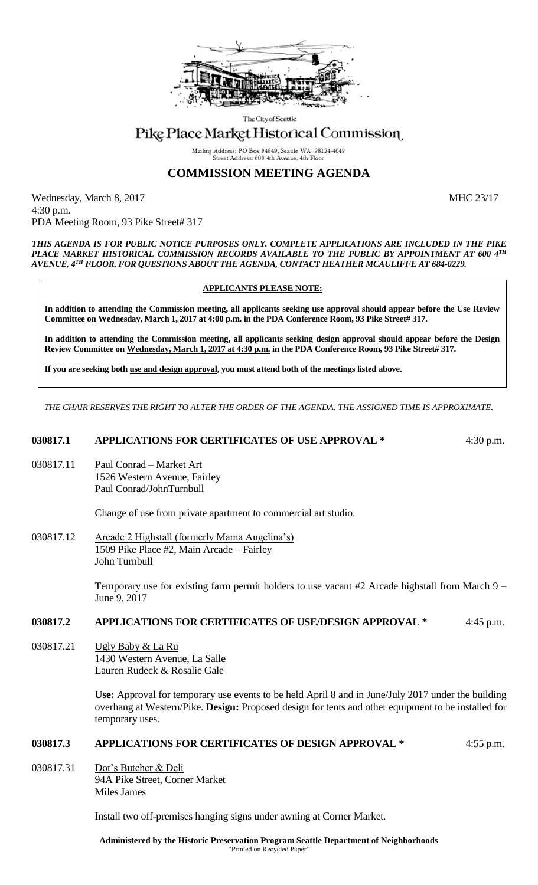

The City of Seattle

# Pike Place Market Historical Commission

Mailing Address: PO Box 94649, Seattle WA 98124-4649 Street Address: 600 4th Avenue, 4th Floo

## **COMMISSION MEETING AGENDA**

Wednesday, March 8, 2017 MHC 23/17 4:30 p.m. PDA Meeting Room, 93 Pike Street# 317

*THIS AGENDA IS FOR PUBLIC NOTICE PURPOSES ONLY. COMPLETE APPLICATIONS ARE INCLUDED IN THE PIKE PLACE MARKET HISTORICAL COMMISSION RECORDS AVAILABLE TO THE PUBLIC BY APPOINTMENT AT 600 4TH AVENUE, 4TH FLOOR. FOR QUESTIONS ABOUT THE AGENDA, CONTACT HEATHER MCAULIFFE AT 684-0229.*

### **APPLICANTS PLEASE NOTE:**

**In addition to attending the Commission meeting, all applicants seeking use approval should appear before the Use Review Committee on Wednesday, March 1, 2017 at 4:00 p.m. in the PDA Conference Room, 93 Pike Street# 317.**

**In addition to attending the Commission meeting, all applicants seeking design approval should appear before the Design Review Committee on Wednesday, March 1, 2017 at 4:30 p.m. in the PDA Conference Room, 93 Pike Street# 317.** 

**If you are seeking both use and design approval, you must attend both of the meetings listed above.**

*THE CHAIR RESERVES THE RIGHT TO ALTER THE ORDER OF THE AGENDA. THE ASSIGNED TIME IS APPROXIMATE.*

#### **030817.1 APPLICATIONS FOR CERTIFICATES OF USE APPROVAL \*** 4:30 p.m.

030817.11 Paul Conrad – Market Art 1526 Western Avenue, Fairley Paul Conrad/JohnTurnbull

Change of use from private apartment to commercial art studio.

030817.12 Arcade 2 Highstall (formerly Mama Angelina's) 1509 Pike Place #2, Main Arcade – Fairley John Turnbull

> Temporary use for existing farm permit holders to use vacant #2 Arcade highstall from March 9 – June 9, 2017

### **030817.2 APPLICATIONS FOR CERTIFICATES OF USE/DESIGN APPROVAL \*** 4:45 p.m.

030817.21 Ugly Baby & La Ru 1430 Western Avenue, La Salle Lauren Rudeck & Rosalie Gale

> **Use:** Approval for temporary use events to be held April 8 and in June/July 2017 under the building overhang at Western/Pike. **Design:** Proposed design for tents and other equipment to be installed for temporary uses.

## **030817.3 APPLICATIONS FOR CERTIFICATES OF DESIGN APPROVAL \*** 4:55 p.m.

030817.31 Dot's Butcher & Deli 94A Pike Street, Corner Market Miles James

Install two off-premises hanging signs under awning at Corner Market.